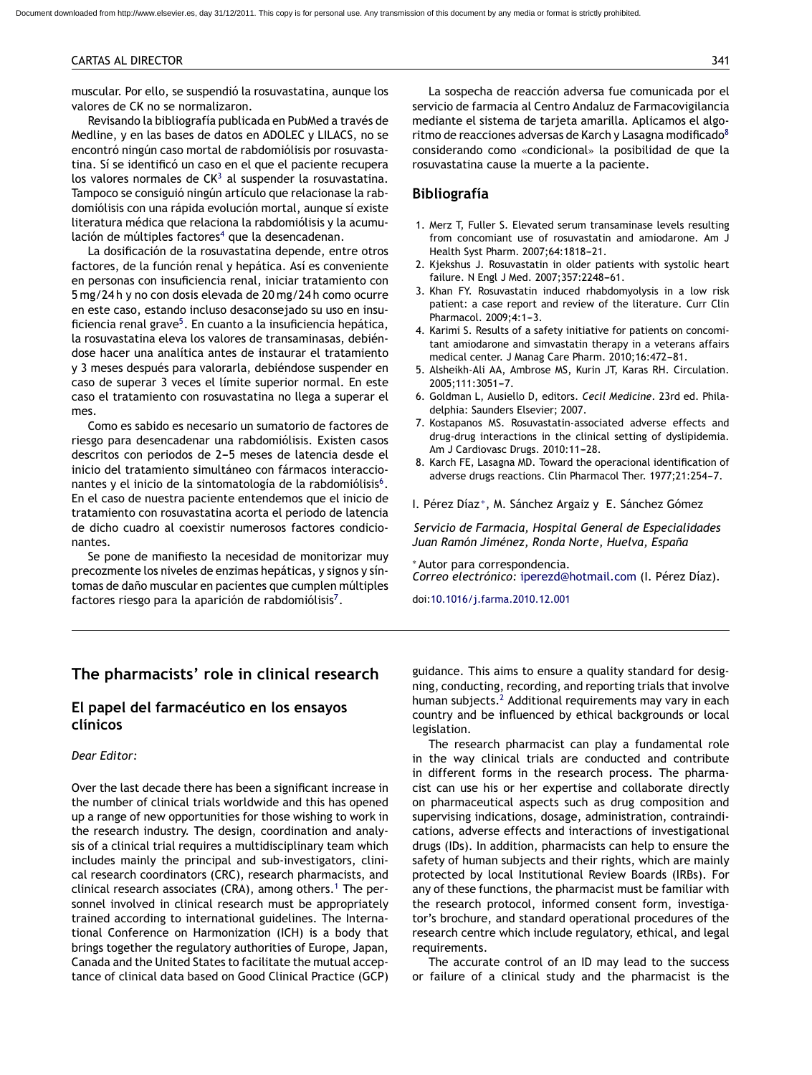#### CARTAS AL DIRECTOR 341

muscular. Por ello, se suspendió la rosuvastatina, aunque los valores de CK no se normalizaron.

Revisando la bibliografía publicada en PubMed a través de Medline, y en las bases de datos en ADOLEC y LILACS, no se encontró ningún caso mortal de rabdomiólisis por rosuvastatina. Sí se identificó un caso en el que el paciente recupera los valores normales de  $CK<sup>3</sup>$  al suspender la rosuvastatina. Tampoco se consiguió ningún artículo que relacionase la rabdomiólisis con una rápida evolución mortal, aunque sí existe literatura médica que relaciona la rabdomiólisis y la acumulación de múltiples factores<sup>4</sup> que la desencadenan.

La dosificación de la rosuvastatina depende, entre otros factores, de la función renal y hepática. Así es conveniente en personas con insuficiencia renal, iniciar tratamiento con 5 mg/24 h y no con dosis elevada de 20 mg/24 h como ocurre en este caso, estando incluso desaconsejado su uso en insuficiencia renal grave<sup>5</sup>. En cuanto a la insuficiencia hepática, la rosuvastatina eleva los valores de transaminasas, debiéndose hacer una analítica antes de instaurar el tratamiento y 3 meses después para valorarla, debiéndose suspender en caso de superar 3 veces el límite superior normal. En este caso el tratamiento con rosuvastatina no llega a superar el mes.

Como es sabido es necesario un sumatorio de factores de riesgo para desencadenar una rabdomiólisis. Existen casos descritos con periodos de 2-5 meses de latencia desde el inicio del tratamiento simultáneo con fármacos interaccionantes y el inicio de la sintomatología de la rabdomiólisis<sup>6</sup>. En el caso de nuestra paciente entendemos que el inicio de tratamiento con rosuvastatina acorta el periodo de latencia de dicho cuadro al coexistir numerosos factores condicionantes.

Se pone de manifiesto la necesidad de monitorizar muy precozmente los niveles de enzimas hepáticas, y signos y síntomas de daño muscular en pacientes que cumplen múltiples factores riesgo para la aparición de rabdomiólisis<sup>7</sup>.

La sospecha de reacción adversa fue comunicada por el servicio de farmacia al Centro Andaluz de Farmacovigilancia mediante el sistema de tarjeta amarilla. Aplicamos el algoritmo de reacciones adversas de Karch y Lasagna modificado $8$ considerando como «condicional» la posibilidad de que la rosuvastatina cause la muerte a la paciente.

#### **Bibliografía**

- 1. Merz T, Fuller S. Elevated serum transaminase levels resulting from concomiant use of rosuvastatin and amiodarone. Am J Health Syst Pharm. 2007;64:1818-21.
- 2. Kjekshus J. Rosuvastatin in older patients with systolic heart failure. N Engl J Med. 2007;357:2248-61.
- 3. Khan FY. Rosuvastatin induced rhabdomyolysis in a low risk patient: a case report and review of the literature. Curr Clin Pharmacol. 2009:4:1-3.
- 4. Karimi S. Results of a safety initiative for patients on concomitant amiodarone and simvastatin therapy in a veterans affairs medical center. J Manag Care Pharm. 2010;16:472-81.
- 5. Alsheikh-Ali AA, Ambrose MS, Kurin JT, Karas RH. Circulation. 2005;111:3051-7.
- 6. Goldman L, Ausiello D, editors. *Cecil Medicine*. 23rd ed. Philadelphia: Saunders Elsevier; 2007.
- 7. Kostapanos MS. Rosuvastatin-associated adverse effects and drug-drug interactions in the clinical setting of dyslipidemia. Am J Cardiovasc Drugs. 2010:11-28.
- 8. Karch FE, Lasagna MD. Toward the operacional identification of adverse drugs reactions. Clin Pharmacol Ther. 1977;21:254-7.

I. Pérez Díaz <sup>∗</sup>, M. Sánchez Argaiz y E. Sánchez Gómez

*Servicio de Farmacia, Hospital General de Especialidades* Juan Ramón Jiménez, Ronda Norte, Huelva, España

<sup>∗</sup> Autor para correspondencia. *Correo electrónico:* [iperezd@hotmail.com](mailto:iperezd@hotmail.com) (I. Pérez Díaz).

doi[:10.1016/j.farma.2010.12.001](dx.doi.org/10.1016/j.farma.2010.12.001)

# **The pharmacists' role in clinical research**

# **El papel del farmacéutico en los ensayos clínicos**

### *Dear Editor:*

Over the last decade there has been a significant increase in the number of clinical trials worldwide and this has opened up a range of new opportunities for those wishing to work in the research industry. The design, coordination and analysis of a clinical trial requires a multidisciplinary team which includes mainly the principal and sub-investigators, clinical research coordinators (CRC), research pharmacists, and clinical research associates (CRA), among others.<sup>[1](#page-1-0)</sup> The personnel involved in clinical research must be appropriately trained according to international guidelines. The International Conference on Harmonization (ICH) is a body that brings together the regulatory authorities of Europe, Japan, Canada and the United States to facilitate the mutual acceptance of clinical data based on Good Clinical Practice (GCP) guidance. This aims to ensure a quality standard for designing, conducting, recording, and reporting trials that involve human subjects.<sup>[2](#page-1-0)</sup> Additional requirements may vary in each country and be influenced by ethical backgrounds or local legislation.

The research pharmacist can play a fundamental role in the way clinical trials are conducted and contribute in different forms in the research process. The pharmacist can use his or her expertise and collaborate directly on pharmaceutical aspects such as drug composition and supervising indications, dosage, administration, contraindications, adverse effects and interactions of investigational drugs (IDs). In addition, pharmacists can help to ensure the safety of human subjects and their rights, which are mainly protected by local Institutional Review Boards (IRBs). For any of these functions, the pharmacist must be familiar with the research protocol, informed consent form, investigator's brochure, and standard operational procedures of the research centre which include regulatory, ethical, and legal requirements.

The accurate control of an ID may lead to the success or failure of a clinical study and the pharmacist is the